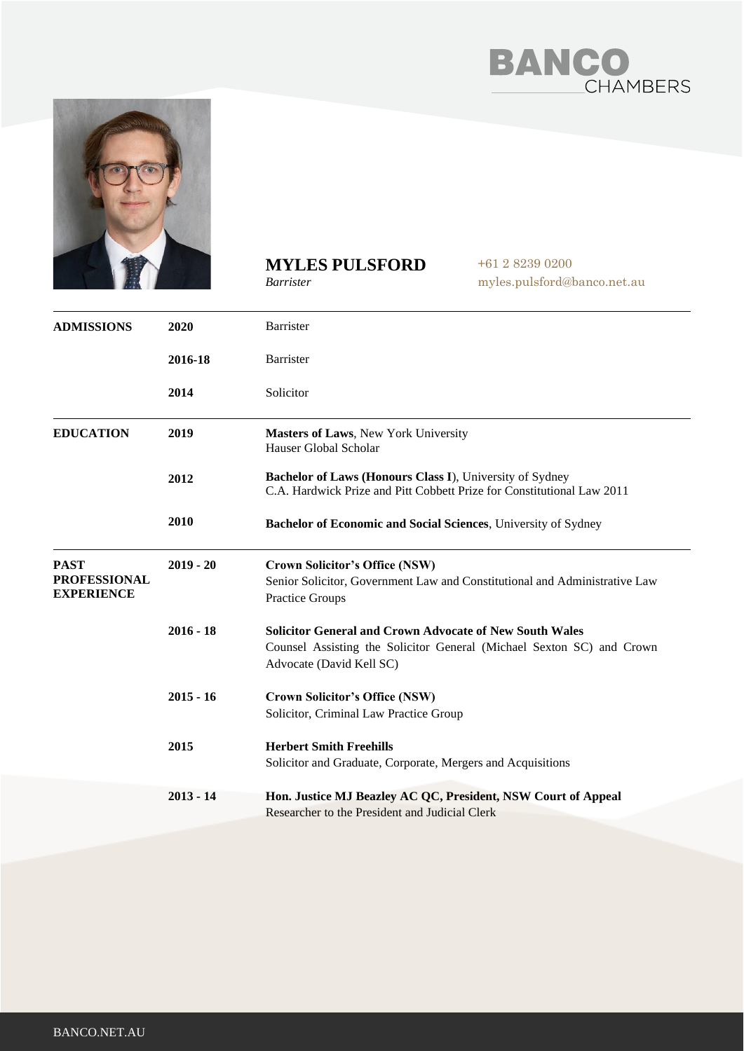



## **MYLES PULSFORD** *Barrister*

+61 2 8239 0200 myles.pulsford@banco.net.au

| <b>ADMISSIONS</b>                                       | 2020        | Barrister                                                                                                                                                           |
|---------------------------------------------------------|-------------|---------------------------------------------------------------------------------------------------------------------------------------------------------------------|
|                                                         | 2016-18     | Barrister                                                                                                                                                           |
|                                                         | 2014        | Solicitor                                                                                                                                                           |
| <b>EDUCATION</b>                                        | 2019        | Masters of Laws, New York University<br>Hauser Global Scholar                                                                                                       |
|                                                         | 2012        | Bachelor of Laws (Honours Class I), University of Sydney<br>C.A. Hardwick Prize and Pitt Cobbett Prize for Constitutional Law 2011                                  |
|                                                         | 2010        | Bachelor of Economic and Social Sciences, University of Sydney                                                                                                      |
| <b>PAST</b><br><b>PROFESSIONAL</b><br><b>EXPERIENCE</b> | $2019 - 20$ | <b>Crown Solicitor's Office (NSW)</b><br>Senior Solicitor, Government Law and Constitutional and Administrative Law<br>Practice Groups                              |
|                                                         | $2016 - 18$ | <b>Solicitor General and Crown Advocate of New South Wales</b><br>Counsel Assisting the Solicitor General (Michael Sexton SC) and Crown<br>Advocate (David Kell SC) |
|                                                         | $2015 - 16$ | <b>Crown Solicitor's Office (NSW)</b><br>Solicitor, Criminal Law Practice Group                                                                                     |
|                                                         | 2015        | <b>Herbert Smith Freehills</b><br>Solicitor and Graduate, Corporate, Mergers and Acquisitions                                                                       |
|                                                         | $2013 - 14$ | Hon. Justice MJ Beazley AC QC, President, NSW Court of Appeal<br>Researcher to the President and Judicial Clerk                                                     |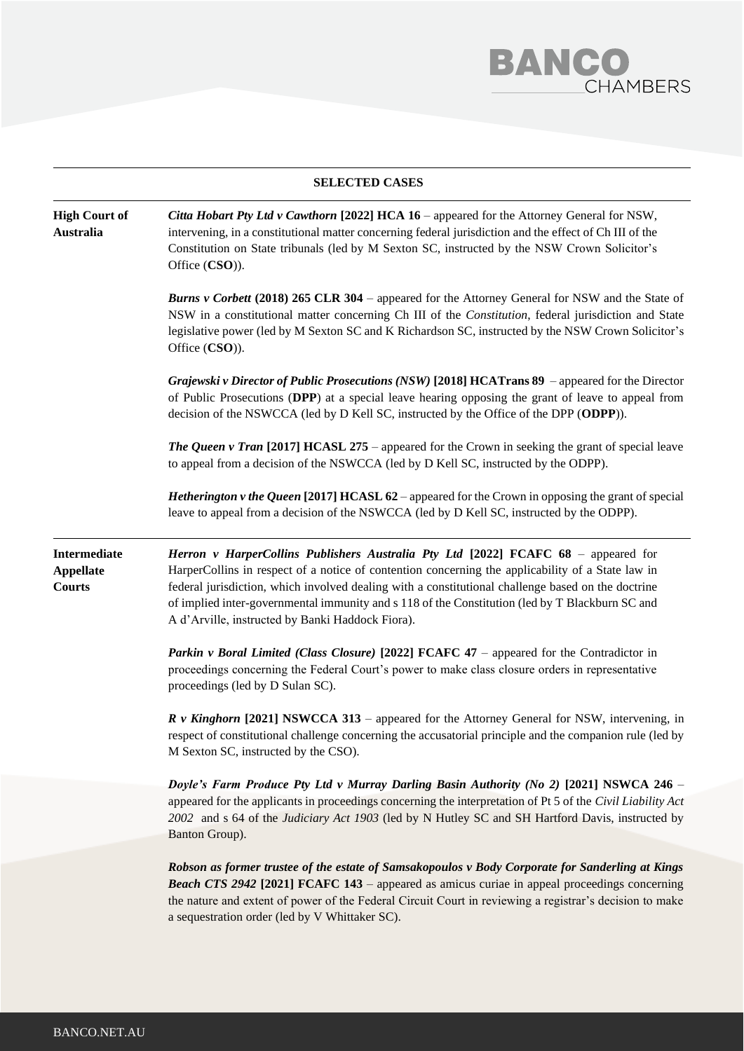

## **SELECTED CASES**

| <b>High Court of</b><br>Australia                        | Citta Hobart Pty Ltd v Cawthorn [2022] HCA 16 - appeared for the Attorney General for NSW,<br>intervening, in a constitutional matter concerning federal jurisdiction and the effect of Ch III of the<br>Constitution on State tribunals (led by M Sexton SC, instructed by the NSW Crown Solicitor's<br>Office (CSO)).                                                                                                                              |  |  |
|----------------------------------------------------------|------------------------------------------------------------------------------------------------------------------------------------------------------------------------------------------------------------------------------------------------------------------------------------------------------------------------------------------------------------------------------------------------------------------------------------------------------|--|--|
|                                                          | <b>Burns v Corbett (2018) 265 CLR 304</b> – appeared for the Attorney General for NSW and the State of<br>NSW in a constitutional matter concerning Ch III of the Constitution, federal jurisdiction and State<br>legislative power (led by M Sexton SC and K Richardson SC, instructed by the NSW Crown Solicitor's<br>Office (CSO)).                                                                                                               |  |  |
|                                                          | Grajewski v Director of Public Prosecutions (NSW) [2018] HCATrans 89 - appeared for the Director<br>of Public Prosecutions (DPP) at a special leave hearing opposing the grant of leave to appeal from<br>decision of the NSWCCA (led by D Kell SC, instructed by the Office of the DPP (ODPP)).                                                                                                                                                     |  |  |
|                                                          | <b>The Queen v Tran [2017] HCASL 275</b> – appeared for the Crown in seeking the grant of special leave<br>to appeal from a decision of the NSWCCA (led by D Kell SC, instructed by the ODPP).                                                                                                                                                                                                                                                       |  |  |
|                                                          | Hetherington v the Queen [2017] HCASL 62 - appeared for the Crown in opposing the grant of special<br>leave to appeal from a decision of the NSWCCA (led by D Kell SC, instructed by the ODPP).                                                                                                                                                                                                                                                      |  |  |
| <b>Intermediate</b><br><b>Appellate</b><br><b>Courts</b> | Herron v HarperCollins Publishers Australia Pty Ltd [2022] FCAFC 68 - appeared for<br>HarperCollins in respect of a notice of contention concerning the applicability of a State law in<br>federal jurisdiction, which involved dealing with a constitutional challenge based on the doctrine<br>of implied inter-governmental immunity and s 118 of the Constitution (led by T Blackburn SC and<br>A d'Arville, instructed by Banki Haddock Fiora). |  |  |
|                                                          | <i>Parkin v Boral Limited (Class Closure)</i> [2022] FCAFC 47 – appeared for the Contradictor in<br>proceedings concerning the Federal Court's power to make class closure orders in representative<br>proceedings (led by D Sulan SC).                                                                                                                                                                                                              |  |  |
|                                                          | $R$ v Kinghorn [2021] NSWCCA 313 – appeared for the Attorney General for NSW, intervening, in<br>respect of constitutional challenge concerning the accusatorial principle and the companion rule (led by<br>M Sexton SC, instructed by the CSO).                                                                                                                                                                                                    |  |  |
|                                                          | Doyle's Farm Produce Pty Ltd v Murray Darling Basin Authority (No 2) [2021] NSWCA 246 -<br>appeared for the applicants in proceedings concerning the interpretation of Pt 5 of the Civil Liability Act<br>2002 and s 64 of the Judiciary Act 1903 (led by N Hutley SC and SH Hartford Davis, instructed by<br>Banton Group).                                                                                                                         |  |  |
|                                                          | Robson as former trustee of the estate of Samsakopoulos v Body Corporate for Sanderling at Kings<br><b>Beach CTS 2942 [2021] FCAFC 143</b> – appeared as amicus curiae in appeal proceedings concerning<br>the nature and extent of power of the Federal Circuit Court in reviewing a registrar's decision to make<br>a sequestration order (led by V Whittaker SC).                                                                                 |  |  |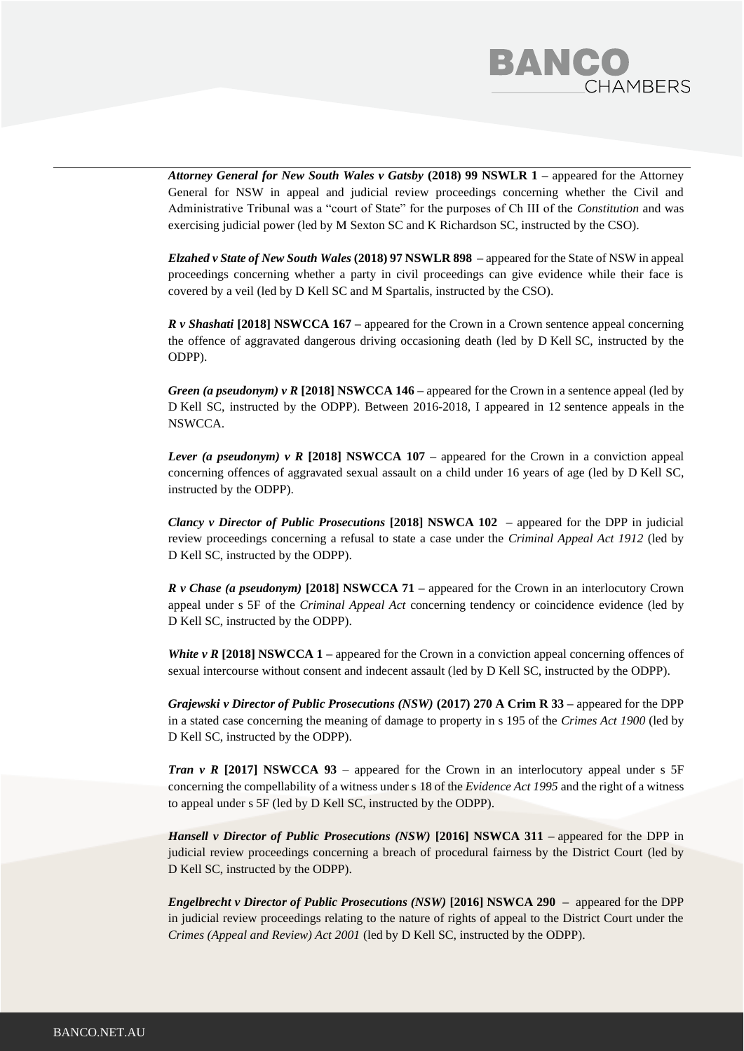

*Attorney General for New South Wales v Gatsby* **(2018) 99 NSWLR 1 –** appeared for the Attorney General for NSW in appeal and judicial review proceedings concerning whether the Civil and Administrative Tribunal was a "court of State" for the purposes of Ch III of the *Constitution* and was exercising judicial power (led by M Sexton SC and K Richardson SC, instructed by the CSO).

*Elzahed v State of New South Wales* **(2018) 97 NSWLR 898 –** appeared for the State of NSW in appeal proceedings concerning whether a party in civil proceedings can give evidence while their face is covered by a veil (led by D Kell SC and M Spartalis, instructed by the CSO).

*R v Shashati* **[2018] NSWCCA 167 –** appeared for the Crown in a Crown sentence appeal concerning the offence of aggravated dangerous driving occasioning death (led by D Kell SC, instructed by the ODPP).

*Green (a pseudonym) v R* **[2018] NSWCCA 146 –** appeared for the Crown in a sentence appeal (led by D Kell SC, instructed by the ODPP). Between 2016-2018, I appeared in 12 sentence appeals in the NSWCCA.

*Lever (a pseudonym) v R* [2018] NSWCCA 107 – appeared for the Crown in a conviction appeal concerning offences of aggravated sexual assault on a child under 16 years of age (led by D Kell SC, instructed by the ODPP).

*Clancy v Director of Public Prosecutions* **[2018] NSWCA 102 –** appeared for the DPP in judicial review proceedings concerning a refusal to state a case under the *Criminal Appeal Act 1912* (led by D Kell SC, instructed by the ODPP).

*R v Chase (a pseudonym)* **[2018] NSWCCA 71 –** appeared for the Crown in an interlocutory Crown appeal under s 5F of the *Criminal Appeal Act* concerning tendency or coincidence evidence (led by D Kell SC, instructed by the ODPP).

*White v R* [2018] NSWCCA 1 – appeared for the Crown in a conviction appeal concerning offences of sexual intercourse without consent and indecent assault (led by D Kell SC, instructed by the ODPP).

*Grajewski v Director of Public Prosecutions (NSW)* **(2017) 270 A Crim R 33 –** appeared for the DPP in a stated case concerning the meaning of damage to property in s 195 of the *Crimes Act 1900* (led by D Kell SC, instructed by the ODPP).

*Tran v R* **[2017] NSWCCA 93** – appeared for the Crown in an interlocutory appeal under s 5F concerning the compellability of a witness under s 18 of the *Evidence Act 1995* and the right of a witness to appeal under s 5F (led by D Kell SC, instructed by the ODPP).

*Hansell v Director of Public Prosecutions (NSW) [2016] NSWCA 311 – appeared for the DPP in* judicial review proceedings concerning a breach of procedural fairness by the District Court (led by D Kell SC, instructed by the ODPP).

*Engelbrecht v Director of Public Prosecutions (NSW)* **[2016] NSWCA 290 –** appeared for the DPP in judicial review proceedings relating to the nature of rights of appeal to the District Court under the *Crimes (Appeal and Review) Act 2001* (led by D Kell SC, instructed by the ODPP).